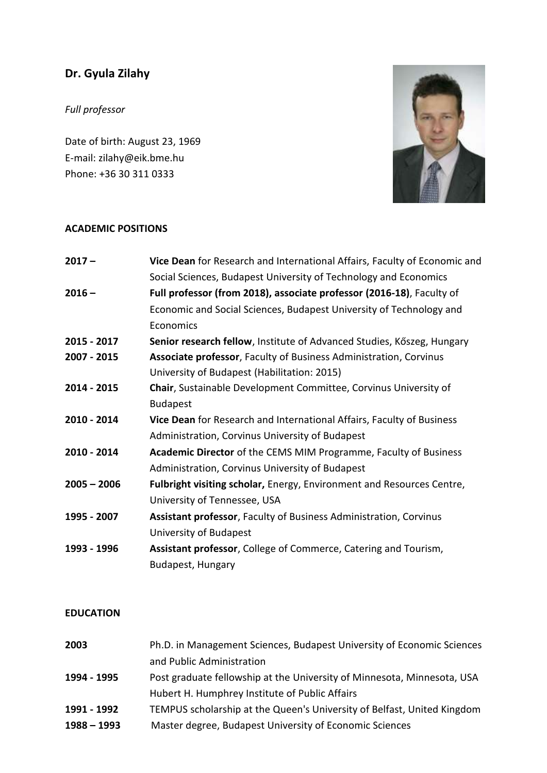# **Dr. Gyula Zilahy**

# *Full professor*

Date of birth: August 23, 1969 E-mail: zilahy@eik.bme.hu Phone: +36 30 311 0333



### **ACADEMIC POSITIONS**

| $2017 -$      | Vice Dean for Research and International Affairs, Faculty of Economic and |
|---------------|---------------------------------------------------------------------------|
|               | Social Sciences, Budapest University of Technology and Economics          |
| $2016 -$      | Full professor (from 2018), associate professor (2016-18), Faculty of     |
|               | Economic and Social Sciences, Budapest University of Technology and       |
|               | Economics                                                                 |
| 2015 - 2017   | Senior research fellow, Institute of Advanced Studies, Kőszeg, Hungary    |
| 2007 - 2015   | Associate professor, Faculty of Business Administration, Corvinus         |
|               | University of Budapest (Habilitation: 2015)                               |
| 2014 - 2015   | Chair, Sustainable Development Committee, Corvinus University of          |
|               | <b>Budapest</b>                                                           |
| 2010 - 2014   | Vice Dean for Research and International Affairs, Faculty of Business     |
|               | Administration, Corvinus University of Budapest                           |
| 2010 - 2014   | Academic Director of the CEMS MIM Programme, Faculty of Business          |
|               | Administration, Corvinus University of Budapest                           |
| $2005 - 2006$ | Fulbright visiting scholar, Energy, Environment and Resources Centre,     |
|               | University of Tennessee, USA                                              |
| 1995 - 2007   | Assistant professor, Faculty of Business Administration, Corvinus         |
|               | University of Budapest                                                    |
| 1993 - 1996   | Assistant professor, College of Commerce, Catering and Tourism,           |
|               | Budapest, Hungary                                                         |
|               |                                                                           |

### **EDUCATION**

| 2003          | Ph.D. in Management Sciences, Budapest University of Economic Sciences  |
|---------------|-------------------------------------------------------------------------|
|               | and Public Administration                                               |
| 1994 - 1995   | Post graduate fellowship at the University of Minnesota, Minnesota, USA |
|               | Hubert H. Humphrey Institute of Public Affairs                          |
| 1991 - 1992   | TEMPUS scholarship at the Queen's University of Belfast, United Kingdom |
| $1988 - 1993$ | Master degree, Budapest University of Economic Sciences                 |
|               |                                                                         |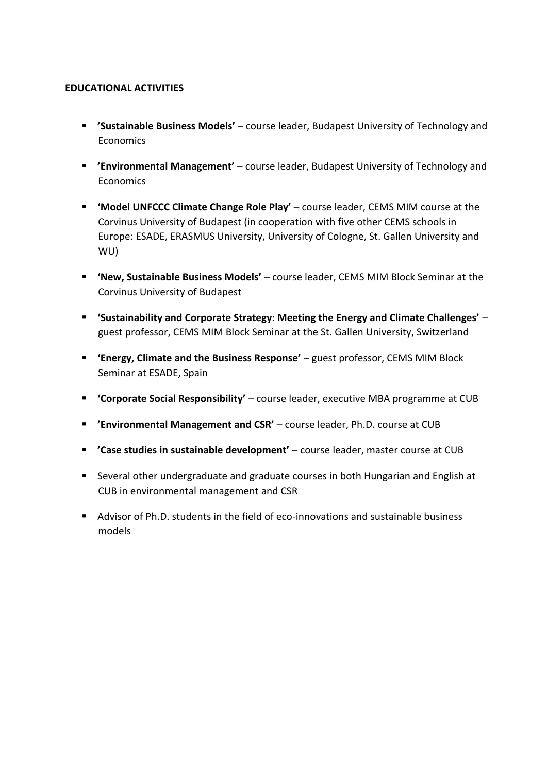### **EDUCATIONAL ACTIVITIES**

- **'Sustainable Business Models'**  course leader, Budapest University of Technology and **Economics**
- **'Environmental Management'**  course leader, Budapest University of Technology and **Economics**
- **'Model UNFCCC Climate Change Role Play'** course leader, CEMS MIM course at the Corvinus University of Budapest (in cooperation with five other CEMS schools in Europe: ESADE, ERASMUS University, University of Cologne, St. Gallen University and WU)
- **'New, Sustainable Business Models'** course leader, CEMS MIM Block Seminar at the Corvinus University of Budapest
- **'Sustainability and Corporate Strategy: Meeting the Energy and Climate Challenges'** guest professor, CEMS MIM Block Seminar at the St. Gallen University, Switzerland
- **'Energy, Climate and the Business Response'** guest professor, CEMS MIM Block Seminar at ESADE, Spain
- **'Corporate Social Responsibility'** course leader, executive MBA programme at CUB
- **'Environmental Management and CSR'** course leader, Ph.D. course at CUB
- **'Case studies in sustainable development'** course leader, master course at CUB
- Several other undergraduate and graduate courses in both Hungarian and English at CUB in environmental management and CSR
- Advisor of Ph.D. students in the field of eco-innovations and sustainable business models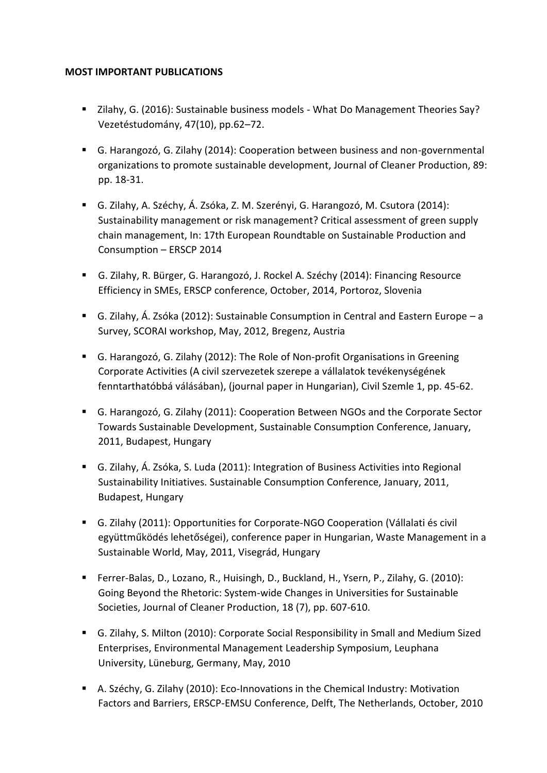### **MOST IMPORTANT PUBLICATIONS**

- Zilahy, G. (2016): Sustainable business models What Do Management Theories Say? Vezetéstudomány, 47(10), pp.62–72.
- G. Harangozó, G. Zilahy (2014): Cooperation between business and non-governmental organizations to promote sustainable development, Journal of Cleaner Production, 89: pp. 18-31.
- G. Zilahy, A. Széchy, Á. Zsóka, Z. M. Szerényi, G. Harangozó, M. Csutora (2014): Sustainability management or risk management? Critical assessment of green supply chain management, In: 17th European Roundtable on Sustainable Production and Consumption – ERSCP 2014
- G. Zilahy, R. Bürger, G. Harangozó, J. Rockel A. Széchy (2014): Financing Resource Efficiency in SMEs, ERSCP conference, October, 2014, Portoroz, Slovenia
- G. Zilahy, Á. Zsóka (2012): [Sustainable Consumption in Central and Eastern Europe](http://portal.uni-corvinus.hu/index.php?id=publikaciokereso&no_cache=1&tx_efpublikacio_pi5%5Bpuid%5D=64481&tx_efpublikacio_pi5%5Bview%5D=details)  a [Survey,](http://portal.uni-corvinus.hu/index.php?id=publikaciokereso&no_cache=1&tx_efpublikacio_pi5%5Bpuid%5D=64481&tx_efpublikacio_pi5%5Bview%5D=details) SCORAI workshop, May, 2012, Bregenz, Austria
- G. Harangozó, G. Zilahy (2012): [The Role of Non-profit Organisations in Greening](http://portal.uni-corvinus.hu/index.php?id=publikaciokereso&no_cache=1&tx_efpublikacio_pi5%5Bpuid%5D=62452&tx_efpublikacio_pi5%5Bview%5D=details)  [Corporate Activities \(A civil szervezetek szerepe a vállalatok tevékenységének](http://portal.uni-corvinus.hu/index.php?id=publikaciokereso&no_cache=1&tx_efpublikacio_pi5%5Bpuid%5D=62452&tx_efpublikacio_pi5%5Bview%5D=details)  [fenntarthatóbbá válásában\),](http://portal.uni-corvinus.hu/index.php?id=publikaciokereso&no_cache=1&tx_efpublikacio_pi5%5Bpuid%5D=62452&tx_efpublikacio_pi5%5Bview%5D=details) (journal paper in Hungarian), Civil Szemle 1, pp. 45-62.
- G. Harangozó, G. Zilahy (2011): [Cooperation Between NGOs and the Corporate Sector](http://portal.uni-corvinus.hu/index.php?id=publikaciokereso&no_cache=1&tx_efpublikacio_pi5%5Bpuid%5D=60975&tx_efpublikacio_pi5%5Bview%5D=details)  [Towards Sustainable Development,](http://portal.uni-corvinus.hu/index.php?id=publikaciokereso&no_cache=1&tx_efpublikacio_pi5%5Bpuid%5D=60975&tx_efpublikacio_pi5%5Bview%5D=details) Sustainable Consumption Conference, January, 2011, Budapest, Hungary
- G. Zilahy, Á. Zsóka, S. Luda (2011): [Integration of Business Activities into Regional](http://portal.uni-corvinus.hu/index.php?id=publikaciokereso&no_cache=1&tx_efpublikacio_pi5%5Bpuid%5D=60328&tx_efpublikacio_pi5%5Bview%5D=details)  [Sustainability Initiatives.](http://portal.uni-corvinus.hu/index.php?id=publikaciokereso&no_cache=1&tx_efpublikacio_pi5%5Bpuid%5D=60328&tx_efpublikacio_pi5%5Bview%5D=details) Sustainable Consumption Conference, January, 2011, Budapest, Hungary
- G. Zilahy (2011): [Opportunities for Corporate-NGO Cooperation](http://portal.uni-corvinus.hu/index.php?id=publikaciokereso&no_cache=1&tx_efpublikacio_pi5%5Bpuid%5D=60754&tx_efpublikacio_pi5%5Bview%5D=details) (Vállalati és civil együttműködés lehetőségei), conference paper in Hungarian, Waste Management in a Sustainable World, May, 2011, Visegrád, Hungary
- Ferrer-Balas, D., Lozano, R., Huisingh, D., Buckland, H., Ysern, P., Zilahy, G. (2010): [Going Beyond the Rhetoric: System-wide](http://www.scopus.com/record/display.url?eid=2-s2.0-77949912097&origin=resultslist) Changes in Universities for Sustainable [Societies, J](http://www.scopus.com/record/display.url?eid=2-s2.0-77949912097&origin=resultslist)ournal of Cleaner Production, 18 (7), pp. 607-610.
- G. Zilahy, S. Milton (2010): Corporate Social Responsibility in Small and Medium Sized Enterprises, Environmental Management Leadership Symposium, Leuphana University, Lüneburg, Germany, May, 2010
- A. Széchy, G. Zilahy (2010): Eco-Innovations in the Chemical Industry: Motivation Factors and Barriers, ERSCP-EMSU Conference, Delft, The Netherlands, October, 2010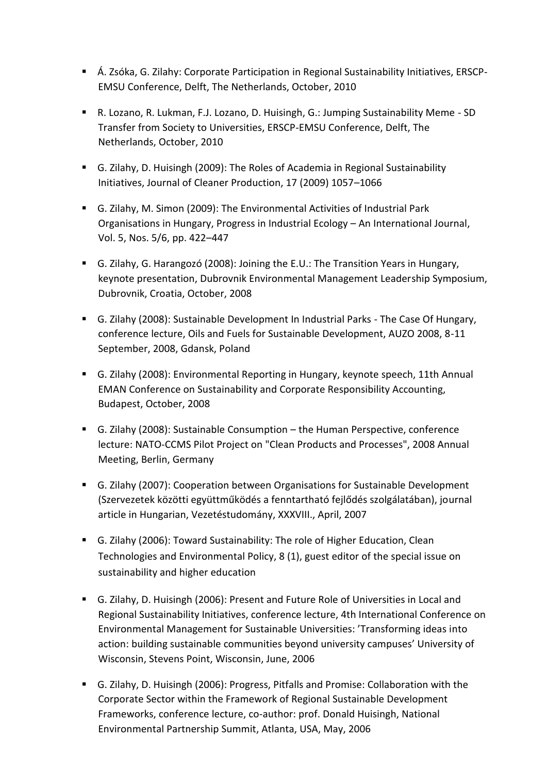- Á. Zsóka, G. Zilahy: Corporate Participation in Regional Sustainability Initiatives, ERSCP-EMSU Conference, Delft, The Netherlands, October, 2010
- R. Lozano, R. Lukman, F.J. Lozano, D. Huisingh, G.: Jumping Sustainability Meme SD Transfer from Society to Universities, ERSCP-EMSU Conference, Delft, The Netherlands, October, 2010
- G. Zilahy, D. Huisingh (2009): The Roles of Academia in Regional Sustainability Initiatives, Journal of Cleaner Production, 17 (2009) 1057–1066
- G. Zilahy, M. Simon (2009): The Environmental Activities of Industrial Park Organisations in Hungary, Progress in Industrial Ecology – An International Journal, Vol. 5, Nos. 5/6, pp. 422–447
- G. Zilahy, G. Harangozó (2008): Joining the E.U.: The Transition Years in Hungary, keynote presentation, Dubrovnik Environmental Management Leadership Symposium, Dubrovnik, Croatia, October, 2008
- G. Zilahy (2008): Sustainable Development In Industrial Parks The Case Of Hungary, conference lecture, Oils and Fuels for Sustainable Development, AUZO 2008, 8-11 September, 2008, Gdansk, Poland
- G. Zilahy (2008): Environmental Reporting in Hungary, keynote speech, 11th Annual EMAN Conference on Sustainability and Corporate Responsibility Accounting, Budapest, October, 2008
- G. Zilahy (2008): Sustainable Consumption the Human Perspective, conference lecture: NATO-CCMS Pilot Project on "Clean Products and Processes", 2008 Annual Meeting, Berlin, Germany
- G. Zilahy (2007): Cooperation between Organisations for Sustainable Development (Szervezetek közötti együttműködés a fenntartható fejlődés szolgálatában), journal article in Hungarian, Vezetéstudomány, XXXVIII., April, 2007
- G. Zilahy (2006): Toward Sustainability: The role of Higher Education, Clean Technologies and Environmental Policy, 8 (1), guest editor of the special issue on sustainability and higher education
- G. Zilahy, D. Huisingh (2006): Present and Future Role of Universities in Local and Regional Sustainability Initiatives, conference lecture, 4th International Conference on Environmental Management for Sustainable Universities: 'Transforming ideas into action: building sustainable communities beyond university campuses' University of Wisconsin, Stevens Point, Wisconsin, June, 2006
- G. Zilahy, D. Huisingh (2006): Progress, Pitfalls and Promise: Collaboration with the Corporate Sector within the Framework of Regional Sustainable Development Frameworks, conference lecture, co-author: prof. Donald Huisingh, National Environmental Partnership Summit, Atlanta, USA, May, 2006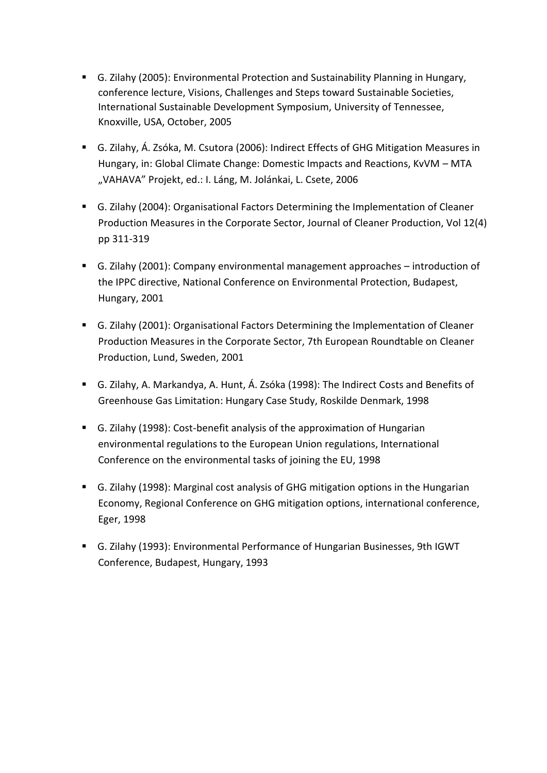- G. Zilahy (2005): Environmental Protection and Sustainability Planning in Hungary, conference lecture, Visions, Challenges and Steps toward Sustainable Societies, International Sustainable Development Symposium, University of Tennessee, Knoxville, USA, October, 2005
- G. Zilahy, Á. Zsóka, M. Csutora (2006): Indirect Effects of GHG Mitigation Measures in Hungary, in: Global Climate Change: Domestic Impacts and Reactions, KvVM – MTA "VAHAVA" Projekt, ed.: I. Láng, M. Jolánkai, L. Csete, 2006
- G. Zilahy (2004): Organisational Factors Determining the Implementation of Cleaner Production Measures in the Corporate Sector, Journal of Cleaner Production, Vol 12(4) pp 311-319
- G. Zilahy (2001): Company environmental management approaches introduction of the IPPC directive, National Conference on Environmental Protection, Budapest, Hungary, 2001
- G. Zilahy (2001): Organisational Factors Determining the Implementation of Cleaner Production Measures in the Corporate Sector, 7th European Roundtable on Cleaner Production, Lund, Sweden, 2001
- G. Zilahy, A. Markandya, A. Hunt, Á. Zsóka (1998): The Indirect Costs and Benefits of Greenhouse Gas Limitation: Hungary Case Study, Roskilde Denmark, 1998
- G. Zilahy (1998): Cost-benefit analysis of the approximation of Hungarian environmental regulations to the European Union regulations, International Conference on the environmental tasks of joining the EU, 1998
- G. Zilahy (1998): Marginal cost analysis of GHG mitigation options in the Hungarian Economy, Regional Conference on GHG mitigation options, international conference, Eger, 1998
- G. Zilahy (1993): Environmental Performance of Hungarian Businesses, 9th IGWT Conference, Budapest, Hungary, 1993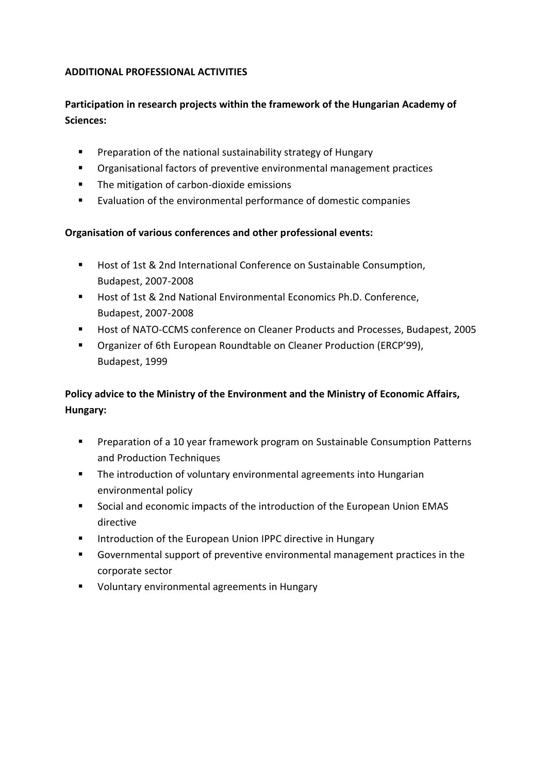### **ADDITIONAL PROFESSIONAL ACTIVITIES**

## **Participation in research projects within the framework of the Hungarian Academy of Sciences:**

- **Preparation of the national sustainability strategy of Hungary**
- Organisational factors of preventive environmental management practices
- The mitigation of carbon-dioxide emissions
- Evaluation of the environmental performance of domestic companies

### **Organisation of various conferences and other professional events:**

- Host of 1st & 2nd International Conference on Sustainable Consumption, Budapest, 2007-2008
- Host of 1st & 2nd National Environmental Economics Ph.D. Conference, Budapest, 2007-2008
- Host of NATO-CCMS conference on Cleaner Products and Processes, Budapest, 2005
- **Organizer of 6th European Roundtable on Cleaner Production (ERCP'99),** Budapest, 1999

# **Policy advice to the Ministry of the Environment and the Ministry of Economic Affairs, Hungary:**

- **Preparation of a 10 year framework program on Sustainable Consumption Patterns** and Production Techniques
- **The introduction of voluntary environmental agreements into Hungarian** environmental policy
- **Social and economic impacts of the introduction of the European Union EMAS** directive
- **IF Introduction of the European Union IPPC directive in Hungary**
- Governmental support of preventive environmental management practices in the corporate sector
- **U** Voluntary environmental agreements in Hungary